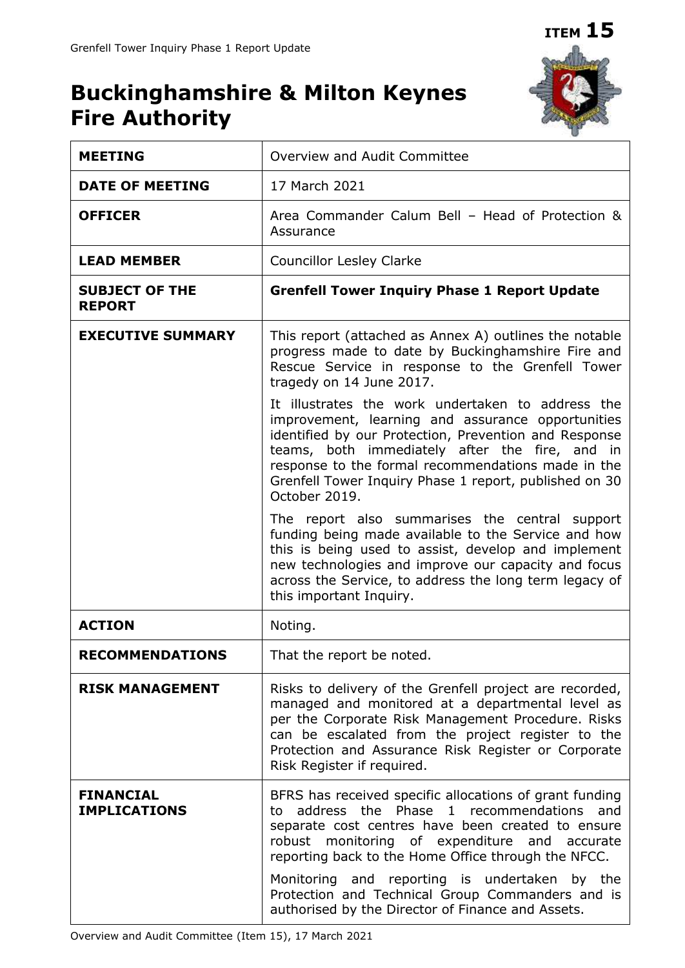# **Buckinghamshire & Milton Keynes Fire Authority**



| <b>MEETING</b>                          | Overview and Audit Committee                                                                                                                                                                                                                                                                                                                       |  |  |
|-----------------------------------------|----------------------------------------------------------------------------------------------------------------------------------------------------------------------------------------------------------------------------------------------------------------------------------------------------------------------------------------------------|--|--|
| <b>DATE OF MEETING</b>                  | 17 March 2021                                                                                                                                                                                                                                                                                                                                      |  |  |
| <b>OFFICER</b>                          | Area Commander Calum Bell - Head of Protection &<br>Assurance                                                                                                                                                                                                                                                                                      |  |  |
| <b>LEAD MEMBER</b>                      | <b>Councillor Lesley Clarke</b>                                                                                                                                                                                                                                                                                                                    |  |  |
| <b>SUBJECT OF THE</b><br><b>REPORT</b>  | <b>Grenfell Tower Inquiry Phase 1 Report Update</b>                                                                                                                                                                                                                                                                                                |  |  |
| <b>EXECUTIVE SUMMARY</b>                | This report (attached as Annex A) outlines the notable<br>progress made to date by Buckinghamshire Fire and<br>Rescue Service in response to the Grenfell Tower<br>tragedy on 14 June 2017.                                                                                                                                                        |  |  |
|                                         | It illustrates the work undertaken to address the<br>improvement, learning and assurance opportunities<br>identified by our Protection, Prevention and Response<br>teams, both immediately after the fire, and in<br>response to the formal recommendations made in the<br>Grenfell Tower Inquiry Phase 1 report, published on 30<br>October 2019. |  |  |
|                                         | The report also summarises the central support<br>funding being made available to the Service and how<br>this is being used to assist, develop and implement<br>new technologies and improve our capacity and focus<br>across the Service, to address the long term legacy of<br>this important Inquiry.                                           |  |  |
| <b>ACTION</b>                           | Noting.                                                                                                                                                                                                                                                                                                                                            |  |  |
| <b>RECOMMENDATIONS</b>                  | That the report be noted.                                                                                                                                                                                                                                                                                                                          |  |  |
| <b>RISK MANAGEMENT</b>                  | Risks to delivery of the Grenfell project are recorded,<br>managed and monitored at a departmental level as<br>per the Corporate Risk Management Procedure. Risks<br>can be escalated from the project register to the<br>Protection and Assurance Risk Register or Corporate<br>Risk Register if required.                                        |  |  |
| <b>FINANCIAL</b><br><b>IMPLICATIONS</b> | BFRS has received specific allocations of grant funding<br>address the Phase 1 recommendations<br>and<br>to<br>separate cost centres have been created to ensure<br>robust monitoring of expenditure and accurate<br>reporting back to the Home Office through the NFCC.                                                                           |  |  |
|                                         | Monitoring and reporting is undertaken by the<br>Protection and Technical Group Commanders and is<br>authorised by the Director of Finance and Assets.                                                                                                                                                                                             |  |  |

Overview and Audit Committee (Item 15), 17 March 2021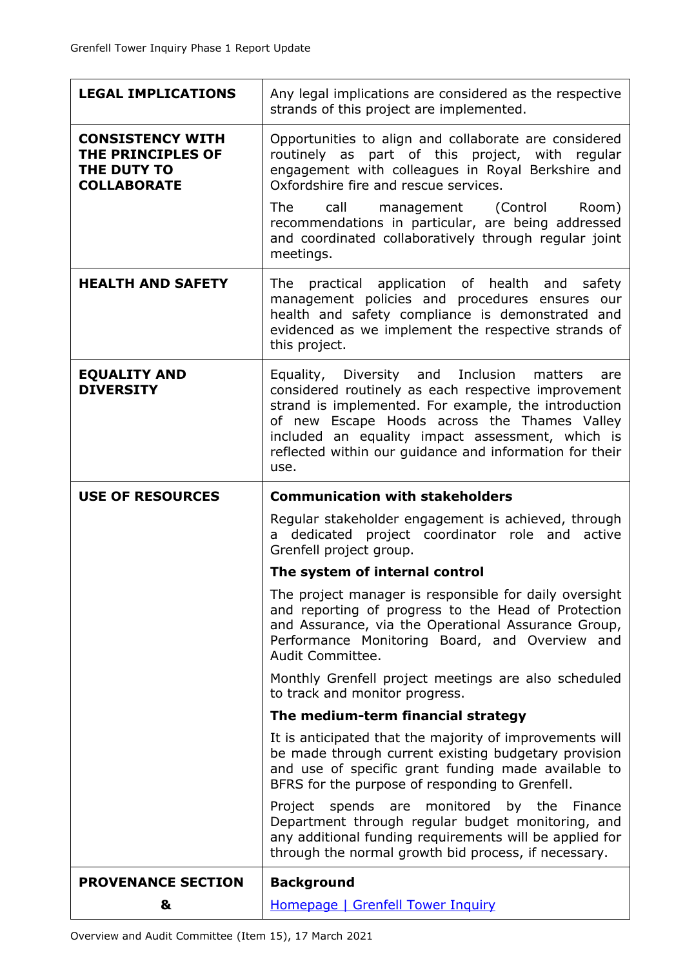| <b>LEGAL IMPLICATIONS</b>                                                         | Any legal implications are considered as the respective<br>strands of this project are implemented.                                                                                                                                                                                                                                    |  |  |  |
|-----------------------------------------------------------------------------------|----------------------------------------------------------------------------------------------------------------------------------------------------------------------------------------------------------------------------------------------------------------------------------------------------------------------------------------|--|--|--|
| <b>CONSISTENCY WITH</b><br>THE PRINCIPLES OF<br>THE DUTY TO<br><b>COLLABORATE</b> | Opportunities to align and collaborate are considered<br>routinely as part of this project, with regular<br>engagement with colleagues in Royal Berkshire and<br>Oxfordshire fire and rescue services.                                                                                                                                 |  |  |  |
|                                                                                   | The<br>call management (Control<br>Room)<br>recommendations in particular, are being addressed<br>and coordinated collaboratively through regular joint<br>meetings.                                                                                                                                                                   |  |  |  |
| <b>HEALTH AND SAFETY</b>                                                          | practical application of health and safety<br>The<br>management policies and procedures ensures our<br>health and safety compliance is demonstrated and<br>evidenced as we implement the respective strands of<br>this project.                                                                                                        |  |  |  |
| <b>EQUALITY AND</b><br><b>DIVERSITY</b>                                           | Equality, Diversity and Inclusion matters<br>are<br>considered routinely as each respective improvement<br>strand is implemented. For example, the introduction<br>of new Escape Hoods across the Thames Valley<br>included an equality impact assessment, which is<br>reflected within our guidance and information for their<br>use. |  |  |  |
| <b>USE OF RESOURCES</b>                                                           | <b>Communication with stakeholders</b>                                                                                                                                                                                                                                                                                                 |  |  |  |
|                                                                                   |                                                                                                                                                                                                                                                                                                                                        |  |  |  |
|                                                                                   | Regular stakeholder engagement is achieved, through<br>dedicated project coordinator role and active<br>a l<br>Grenfell project group.                                                                                                                                                                                                 |  |  |  |
|                                                                                   | The system of internal control                                                                                                                                                                                                                                                                                                         |  |  |  |
|                                                                                   | The project manager is responsible for daily oversight<br>and reporting of progress to the Head of Protection<br>and Assurance, via the Operational Assurance Group,<br>Performance Monitoring Board, and Overview and<br>Audit Committee.                                                                                             |  |  |  |
|                                                                                   | Monthly Grenfell project meetings are also scheduled                                                                                                                                                                                                                                                                                   |  |  |  |
|                                                                                   | to track and monitor progress.<br>The medium-term financial strategy                                                                                                                                                                                                                                                                   |  |  |  |
|                                                                                   | It is anticipated that the majority of improvements will<br>be made through current existing budgetary provision<br>and use of specific grant funding made available to<br>BFRS for the purpose of responding to Grenfell.                                                                                                             |  |  |  |
|                                                                                   | spends<br>monitored<br>Project<br>are<br>by the<br>Finance<br>Department through regular budget monitoring, and<br>any additional funding requirements will be applied for<br>through the normal growth bid process, if necessary.                                                                                                     |  |  |  |
| <b>PROVENANCE SECTION</b>                                                         | <b>Background</b>                                                                                                                                                                                                                                                                                                                      |  |  |  |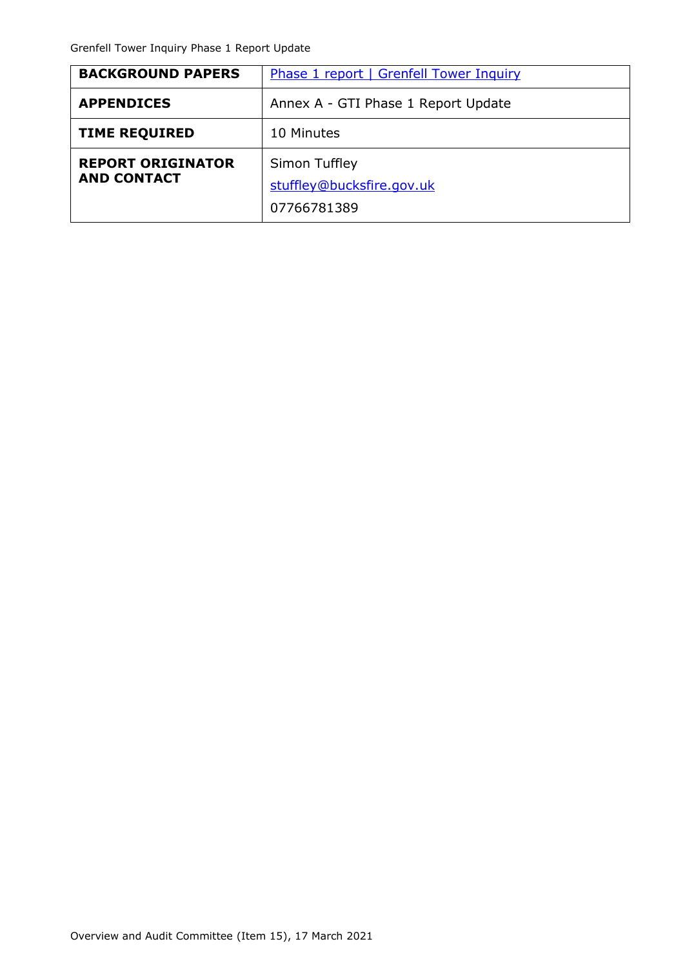| <b>BACKGROUND PAPERS</b>                       | <b>Phase 1 report   Grenfell Tower Inquiry</b>            |  |  |
|------------------------------------------------|-----------------------------------------------------------|--|--|
| <b>APPENDICES</b>                              | Annex A - GTI Phase 1 Report Update                       |  |  |
| <b>TIME REQUIRED</b>                           | 10 Minutes                                                |  |  |
| <b>REPORT ORIGINATOR</b><br><b>AND CONTACT</b> | Simon Tuffley<br>stuffley@bucksfire.gov.uk<br>07766781389 |  |  |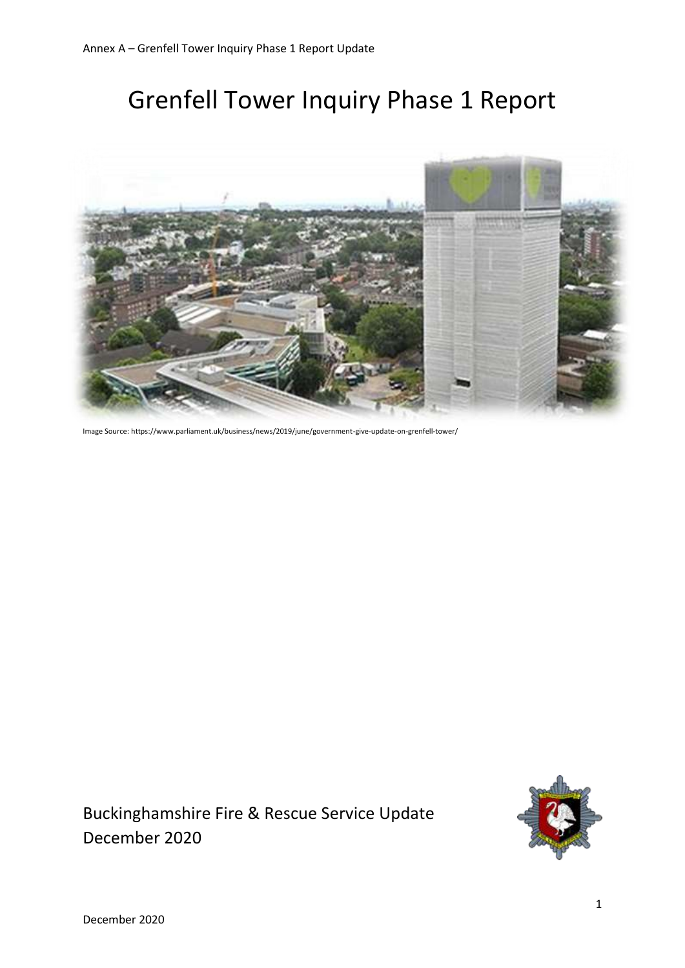# Grenfell Tower Inquiry Phase 1 Report



Image Source: https://www.parliament.uk/business/news/2019/june/government-give-update-on-grenfell-tower/

Buckinghamshire Fire & Rescue Service Update December 2020

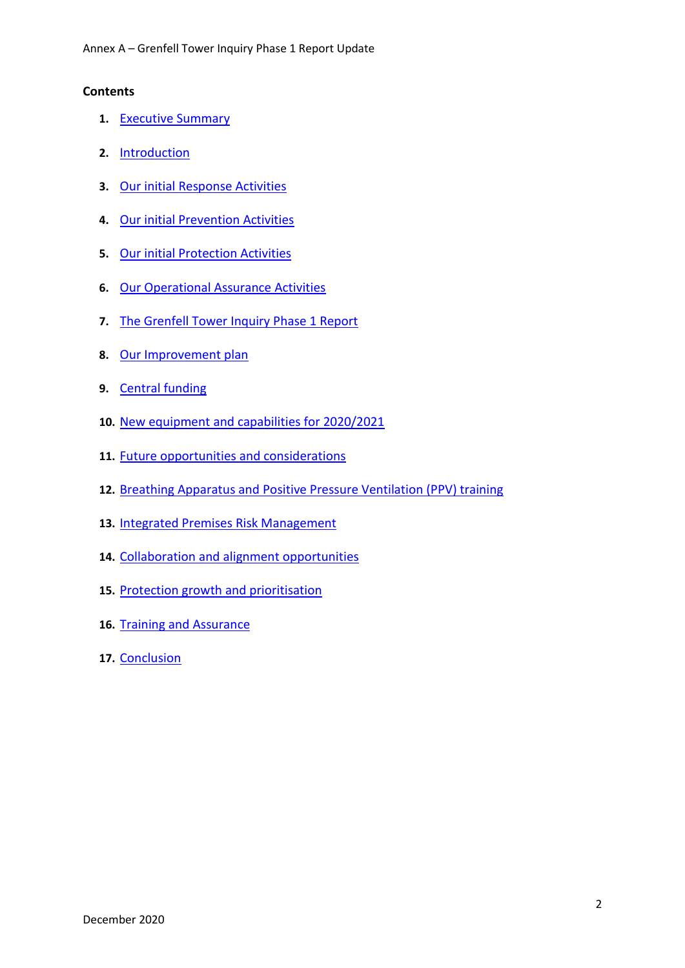#### **Contents**

- **1.** [Executive Summary](#page-5-0)
- **2.** [Introduction](#page-5-1)
- **3.** [Our initial Response Activities](#page-6-0)
- **4.** [Our initial Prevention Activities](#page-7-0)
- **5.** [Our initial Protection Activities](#page-8-0)
- **6.** [Our Operational Assurance Activities](#page-9-0)
- **7.** [The Grenfell Tower Inquiry Phase 1 Report](#page-10-0)
- **8.** [Our Improvement](#page-11-0) plan
- **9.** [Central funding](#page-12-0)
- **10.** [New equipment](#page-12-1) and capabilities for 2020/2021
- **11.** [Future opportunities and considerations](#page-15-0)
- **12.** [Breathing Apparatus and Positive Pressure Ventilation \(PPV\) training](#page-15-1)
- **13.** [Integrated Premises Risk Management](#page-15-2)
- **14.** [Collaboration and alignment opportunities](#page-16-0)
- **15.** [Protection growth and prioritisation](#page-16-1)
- **16.** [Training and Assurance](#page-16-2)
- **17.** [Conclusion](#page-16-3)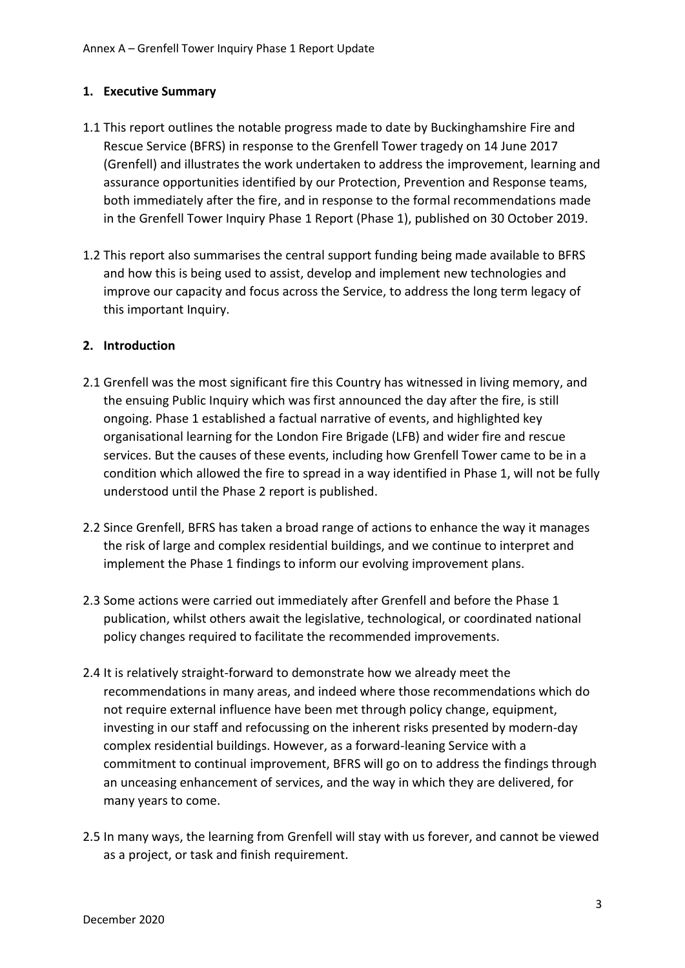# <span id="page-5-0"></span>**1. Executive Summary**

- 1.1 This report outlines the notable progress made to date by Buckinghamshire Fire and Rescue Service (BFRS) in response to the Grenfell Tower tragedy on 14 June 2017 (Grenfell) and illustrates the work undertaken to address the improvement, learning and assurance opportunities identified by our Protection, Prevention and Response teams, both immediately after the fire, and in response to the formal recommendations made in the Grenfell Tower Inquiry Phase 1 Report (Phase 1), published on 30 October 2019.
- 1.2 This report also summarises the central support funding being made available to BFRS and how this is being used to assist, develop and implement new technologies and improve our capacity and focus across the Service, to address the long term legacy of this important Inquiry.

# <span id="page-5-1"></span>**2. Introduction**

- 2.1 Grenfell was the most significant fire this Country has witnessed in living memory, and the ensuing Public Inquiry which was first announced the day after the fire, is still ongoing. Phase 1 established a factual narrative of events, and highlighted key organisational learning for the London Fire Brigade (LFB) and wider fire and rescue services. But the causes of these events, including how Grenfell Tower came to be in a condition which allowed the fire to spread in a way identified in Phase 1, will not be fully understood until the Phase 2 report is published.
- 2.2 Since Grenfell, BFRS has taken a broad range of actions to enhance the way it manages the risk of large and complex residential buildings, and we continue to interpret and implement the Phase 1 findings to inform our evolving improvement plans.
- 2.3 Some actions were carried out immediately after Grenfell and before the Phase 1 publication, whilst others await the legislative, technological, or coordinated national policy changes required to facilitate the recommended improvements.
- 2.4 It is relatively straight-forward to demonstrate how we already meet the recommendations in many areas, and indeed where those recommendations which do not require external influence have been met through policy change, equipment, investing in our staff and refocussing on the inherent risks presented by modern-day complex residential buildings. However, as a forward-leaning Service with a commitment to continual improvement, BFRS will go on to address the findings through an unceasing enhancement of services, and the way in which they are delivered, for many years to come.
- 2.5 In many ways, the learning from Grenfell will stay with us forever, and cannot be viewed as a project, or task and finish requirement.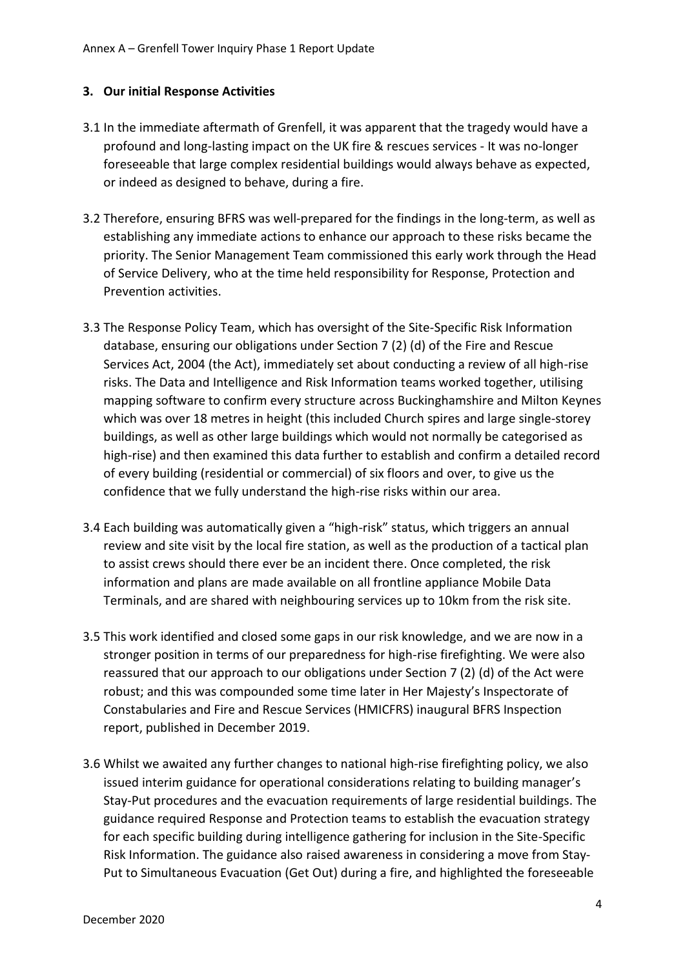# <span id="page-6-0"></span>**3. Our initial Response Activities**

- 3.1 In the immediate aftermath of Grenfell, it was apparent that the tragedy would have a profound and long-lasting impact on the UK fire & rescues services - It was no-longer foreseeable that large complex residential buildings would always behave as expected, or indeed as designed to behave, during a fire.
- 3.2 Therefore, ensuring BFRS was well-prepared for the findings in the long-term, as well as establishing any immediate actions to enhance our approach to these risks became the priority. The Senior Management Team commissioned this early work through the Head of Service Delivery, who at the time held responsibility for Response, Protection and Prevention activities.
- 3.3 The Response Policy Team, which has oversight of the Site-Specific Risk Information database, ensuring our obligations under Section 7 (2) (d) of the Fire and Rescue Services Act, 2004 (the Act), immediately set about conducting a review of all high-rise risks. The Data and Intelligence and Risk Information teams worked together, utilising mapping software to confirm every structure across Buckinghamshire and Milton Keynes which was over 18 metres in height (this included Church spires and large single-storey buildings, as well as other large buildings which would not normally be categorised as high-rise) and then examined this data further to establish and confirm a detailed record of every building (residential or commercial) of six floors and over, to give us the confidence that we fully understand the high-rise risks within our area.
- 3.4 Each building was automatically given a "high-risk" status, which triggers an annual review and site visit by the local fire station, as well as the production of a tactical plan to assist crews should there ever be an incident there. Once completed, the risk information and plans are made available on all frontline appliance Mobile Data Terminals, and are shared with neighbouring services up to 10km from the risk site.
- 3.5 This work identified and closed some gaps in our risk knowledge, and we are now in a stronger position in terms of our preparedness for high-rise firefighting. We were also reassured that our approach to our obligations under Section 7 (2) (d) of the Act were robust; and this was compounded some time later in Her Majesty's Inspectorate of Constabularies and Fire and Rescue Services (HMICFRS) inaugural BFRS Inspection report, published in December 2019.
- 3.6 Whilst we awaited any further changes to national high-rise firefighting policy, we also issued interim guidance for operational considerations relating to building manager's Stay-Put procedures and the evacuation requirements of large residential buildings. The guidance required Response and Protection teams to establish the evacuation strategy for each specific building during intelligence gathering for inclusion in the Site-Specific Risk Information. The guidance also raised awareness in considering a move from Stay-Put to Simultaneous Evacuation (Get Out) during a fire, and highlighted the foreseeable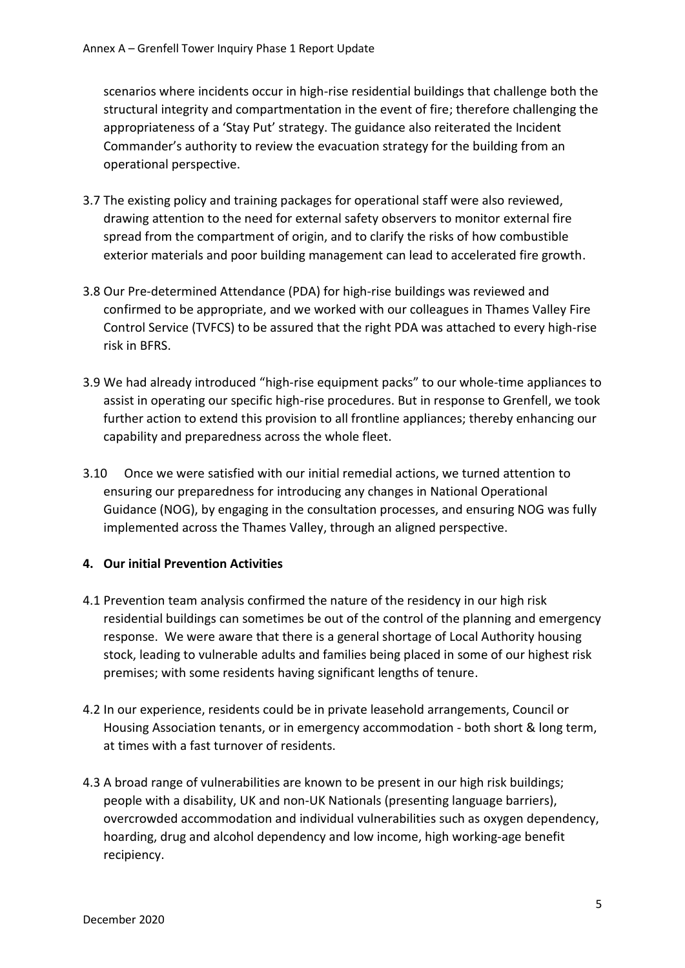scenarios where incidents occur in high-rise residential buildings that challenge both the structural integrity and compartmentation in the event of fire; therefore challenging the appropriateness of a 'Stay Put' strategy. The guidance also reiterated the Incident Commander's authority to review the evacuation strategy for the building from an operational perspective.

- 3.7 The existing policy and training packages for operational staff were also reviewed, drawing attention to the need for external safety observers to monitor external fire spread from the compartment of origin, and to clarify the risks of how combustible exterior materials and poor building management can lead to accelerated fire growth.
- 3.8 Our Pre-determined Attendance (PDA) for high-rise buildings was reviewed and confirmed to be appropriate, and we worked with our colleagues in Thames Valley Fire Control Service (TVFCS) to be assured that the right PDA was attached to every high-rise risk in BFRS.
- 3.9 We had already introduced "high-rise equipment packs" to our whole-time appliances to assist in operating our specific high-rise procedures. But in response to Grenfell, we took further action to extend this provision to all frontline appliances; thereby enhancing our capability and preparedness across the whole fleet.
- 3.10 Once we were satisfied with our initial remedial actions, we turned attention to ensuring our preparedness for introducing any changes in National Operational Guidance (NOG), by engaging in the consultation processes, and ensuring NOG was fully implemented across the Thames Valley, through an aligned perspective.

#### <span id="page-7-0"></span>**4. Our initial Prevention Activities**

- 4.1 Prevention team analysis confirmed the nature of the residency in our high risk residential buildings can sometimes be out of the control of the planning and emergency response. We were aware that there is a general shortage of Local Authority housing stock, leading to vulnerable adults and families being placed in some of our highest risk premises; with some residents having significant lengths of tenure.
- 4.2 In our experience, residents could be in private leasehold arrangements, Council or Housing Association tenants, or in emergency accommodation - both short & long term, at times with a fast turnover of residents.
- 4.3 A broad range of vulnerabilities are known to be present in our high risk buildings; people with a disability, UK and non-UK Nationals (presenting language barriers), overcrowded accommodation and individual vulnerabilities such as oxygen dependency, hoarding, drug and alcohol dependency and low income, high working-age benefit recipiency.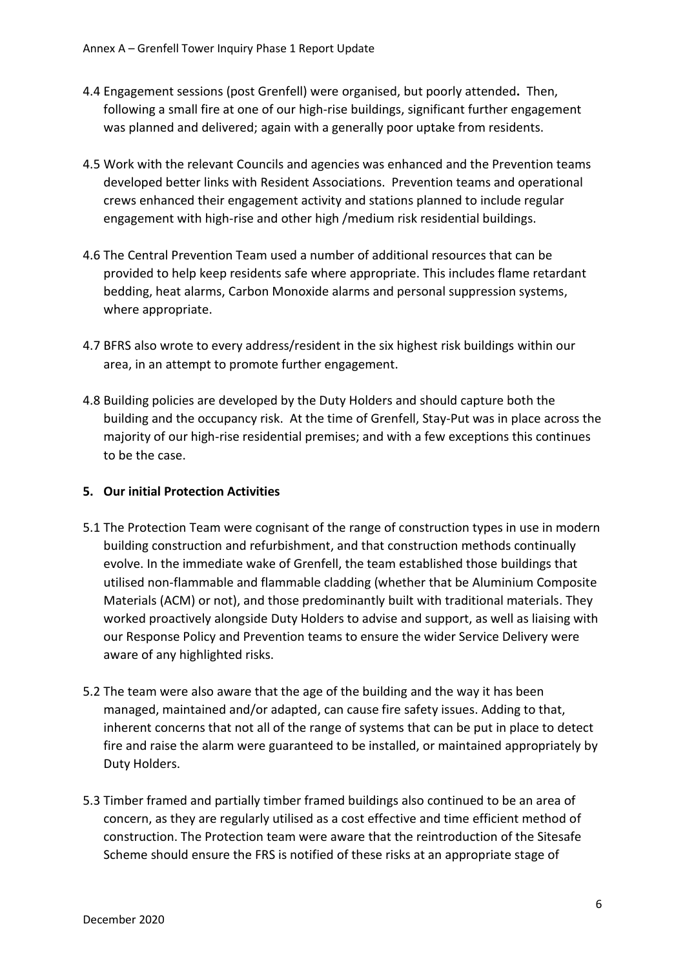- 4.4 Engagement sessions (post Grenfell) were organised, but poorly attended**.** Then, following a small fire at one of our high-rise buildings, significant further engagement was planned and delivered; again with a generally poor uptake from residents.
- 4.5 Work with the relevant Councils and agencies was enhanced and the Prevention teams developed better links with Resident Associations. Prevention teams and operational crews enhanced their engagement activity and stations planned to include regular engagement with high-rise and other high /medium risk residential buildings.
- 4.6 The Central Prevention Team used a number of additional resources that can be provided to help keep residents safe where appropriate. This includes flame retardant bedding, heat alarms, Carbon Monoxide alarms and personal suppression systems, where appropriate.
- 4.7 BFRS also wrote to every address/resident in the six highest risk buildings within our area, in an attempt to promote further engagement.
- 4.8 Building policies are developed by the Duty Holders and should capture both the building and the occupancy risk. At the time of Grenfell, Stay-Put was in place across the majority of our high-rise residential premises; and with a few exceptions this continues to be the case.

# <span id="page-8-0"></span>**5. Our initial Protection Activities**

- 5.1 The Protection Team were cognisant of the range of construction types in use in modern building construction and refurbishment, and that construction methods continually evolve. In the immediate wake of Grenfell, the team established those buildings that utilised non-flammable and flammable cladding (whether that be Aluminium Composite Materials (ACM) or not), and those predominantly built with traditional materials. They worked proactively alongside Duty Holders to advise and support, as well as liaising with our Response Policy and Prevention teams to ensure the wider Service Delivery were aware of any highlighted risks.
- 5.2 The team were also aware that the age of the building and the way it has been managed, maintained and/or adapted, can cause fire safety issues. Adding to that, inherent concerns that not all of the range of systems that can be put in place to detect fire and raise the alarm were guaranteed to be installed, or maintained appropriately by Duty Holders.
- 5.3 Timber framed and partially timber framed buildings also continued to be an area of concern, as they are regularly utilised as a cost effective and time efficient method of construction. The Protection team were aware that the reintroduction of the Sitesafe Scheme should ensure the FRS is notified of these risks at an appropriate stage of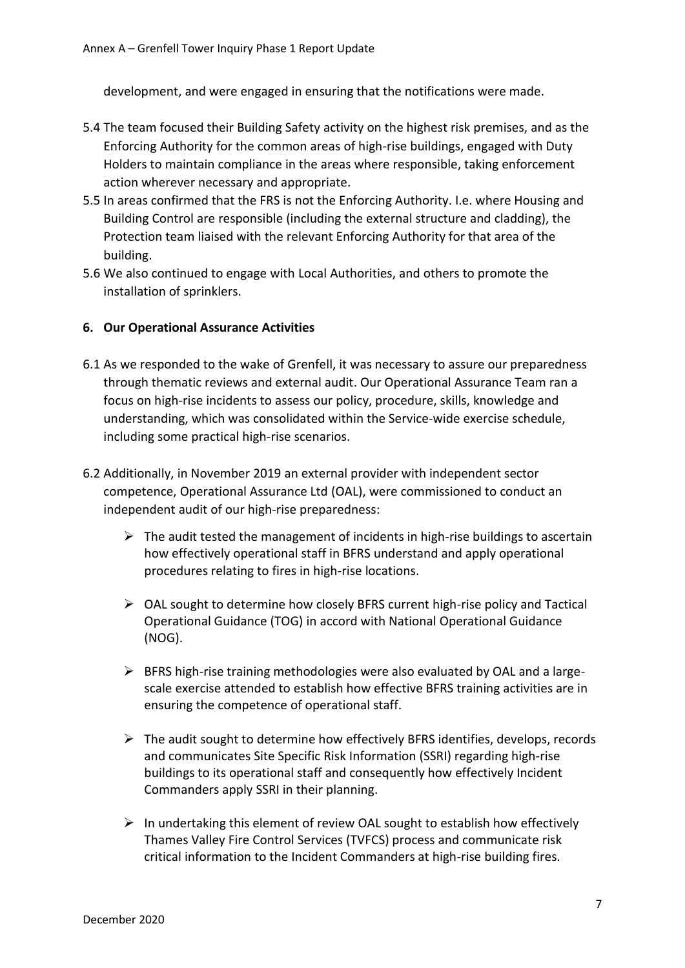development, and were engaged in ensuring that the notifications were made.

- 5.4 The team focused their Building Safety activity on the highest risk premises, and as the Enforcing Authority for the common areas of high-rise buildings, engaged with Duty Holders to maintain compliance in the areas where responsible, taking enforcement action wherever necessary and appropriate.
- 5.5 In areas confirmed that the FRS is not the Enforcing Authority. I.e. where Housing and Building Control are responsible (including the external structure and cladding), the Protection team liaised with the relevant Enforcing Authority for that area of the building.
- 5.6 We also continued to engage with Local Authorities, and others to promote the installation of sprinklers.

#### <span id="page-9-0"></span>**6. Our Operational Assurance Activities**

- 6.1 As we responded to the wake of Grenfell, it was necessary to assure our preparedness through thematic reviews and external audit. Our Operational Assurance Team ran a focus on high-rise incidents to assess our policy, procedure, skills, knowledge and understanding, which was consolidated within the Service-wide exercise schedule, including some practical high-rise scenarios.
- 6.2 Additionally, in November 2019 an external provider with independent sector competence, Operational Assurance Ltd (OAL), were commissioned to conduct an independent audit of our high-rise preparedness:
	- $\triangleright$  The audit tested the management of incidents in high-rise buildings to ascertain how effectively operational staff in BFRS understand and apply operational procedures relating to fires in high-rise locations.
	- ➢ OAL sought to determine how closely BFRS current high-rise policy and Tactical Operational Guidance (TOG) in accord with National Operational Guidance (NOG).
	- ➢ BFRS high-rise training methodologies were also evaluated by OAL and a largescale exercise attended to establish how effective BFRS training activities are in ensuring the competence of operational staff.
	- $\triangleright$  The audit sought to determine how effectively BFRS identifies, develops, records and communicates Site Specific Risk Information (SSRI) regarding high-rise buildings to its operational staff and consequently how effectively Incident Commanders apply SSRI in their planning.
	- $\triangleright$  In undertaking this element of review OAL sought to establish how effectively Thames Valley Fire Control Services (TVFCS) process and communicate risk critical information to the Incident Commanders at high-rise building fires.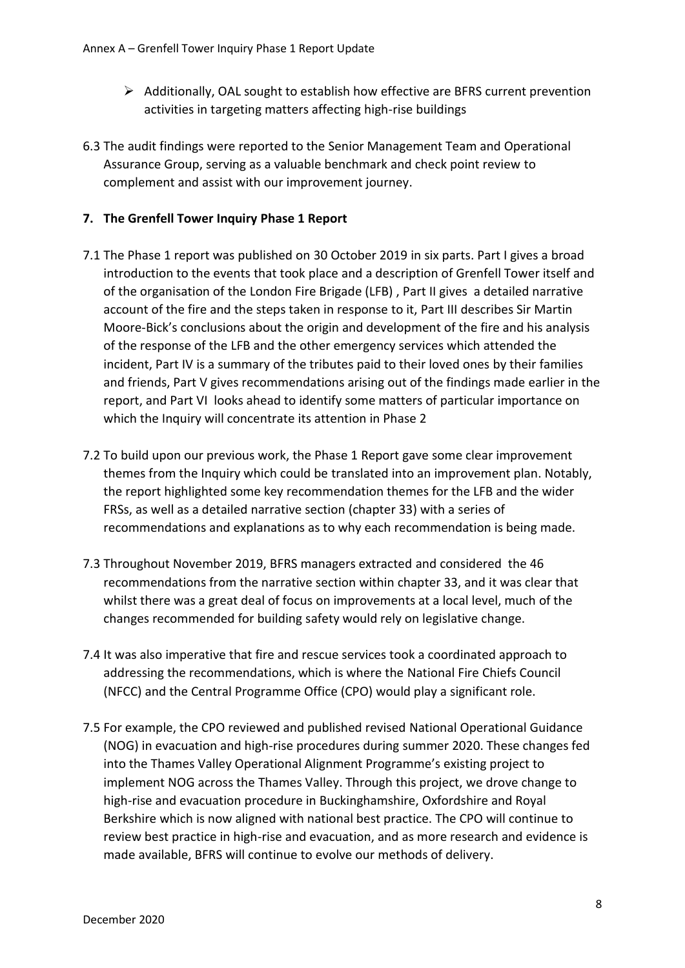- ➢ Additionally, OAL sought to establish how effective are BFRS current prevention activities in targeting matters affecting high-rise buildings
- 6.3 The audit findings were reported to the Senior Management Team and Operational Assurance Group, serving as a valuable benchmark and check point review to complement and assist with our improvement journey.

# <span id="page-10-0"></span>**7. The Grenfell Tower Inquiry Phase 1 Report**

- 7.1 The Phase 1 report was published on 30 October 2019 in six parts. Part I gives a broad introduction to the events that took place and a description of Grenfell Tower itself and of the organisation of the London Fire Brigade (LFB) , Part II gives a detailed narrative account of the fire and the steps taken in response to it, Part III describes Sir Martin Moore-Bick's conclusions about the origin and development of the fire and his analysis of the response of the LFB and the other emergency services which attended the incident, Part IV is a summary of the tributes paid to their loved ones by their families and friends, Part V gives recommendations arising out of the findings made earlier in the report, and Part VI looks ahead to identify some matters of particular importance on which the Inquiry will concentrate its attention in Phase 2
- 7.2 To build upon our previous work, the Phase 1 Report gave some clear improvement themes from the Inquiry which could be translated into an improvement plan. Notably, the report highlighted some key recommendation themes for the LFB and the wider FRSs, as well as a detailed narrative section (chapter 33) with a series of recommendations and explanations as to why each recommendation is being made.
- 7.3 Throughout November 2019, BFRS managers extracted and considered the 46 recommendations from the narrative section within chapter 33, and it was clear that whilst there was a great deal of focus on improvements at a local level, much of the changes recommended for building safety would rely on legislative change.
- 7.4 It was also imperative that fire and rescue services took a coordinated approach to addressing the recommendations, which is where the National Fire Chiefs Council (NFCC) and the Central Programme Office (CPO) would play a significant role.
- 7.5 For example, the CPO reviewed and published revised National Operational Guidance (NOG) in evacuation and high-rise procedures during summer 2020. These changes fed into the Thames Valley Operational Alignment Programme's existing project to implement NOG across the Thames Valley. Through this project, we drove change to high-rise and evacuation procedure in Buckinghamshire, Oxfordshire and Royal Berkshire which is now aligned with national best practice. The CPO will continue to review best practice in high-rise and evacuation, and as more research and evidence is made available, BFRS will continue to evolve our methods of delivery.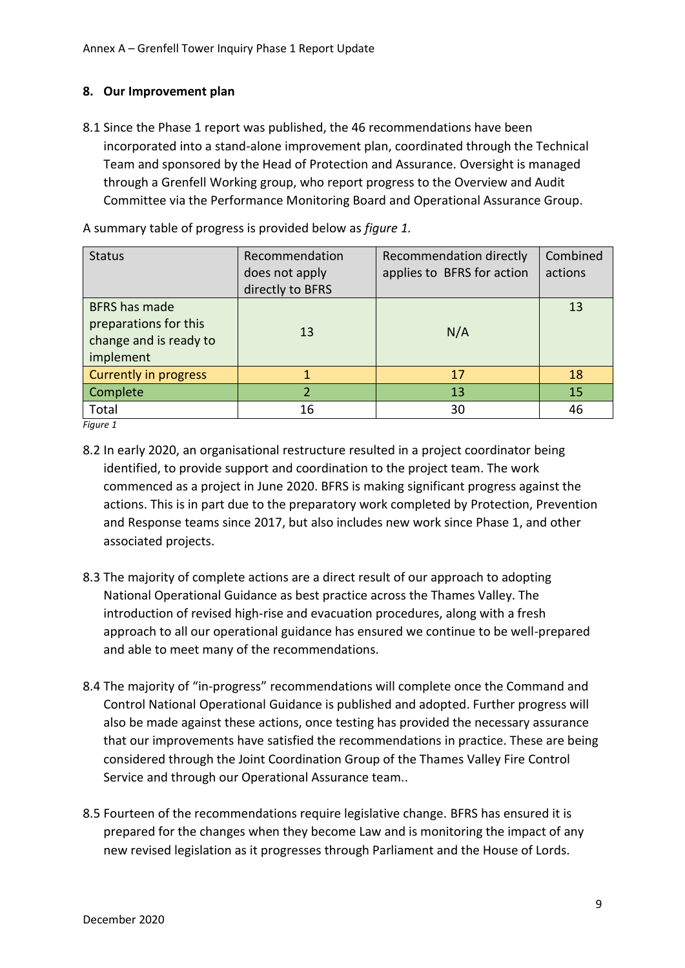# <span id="page-11-0"></span>**8. Our Improvement plan**

8.1 Since the Phase 1 report was published, the 46 recommendations have been incorporated into a stand-alone improvement plan, coordinated through the Technical Team and sponsored by the Head of Protection and Assurance. Oversight is managed through a Grenfell Working group, who report progress to the Overview and Audit Committee via the Performance Monitoring Board and Operational Assurance Group.

| <b>Status</b>                                                                        | Recommendation<br>does not apply<br>directly to BFRS | Recommendation directly<br>applies to BFRS for action | Combined<br>actions |
|--------------------------------------------------------------------------------------|------------------------------------------------------|-------------------------------------------------------|---------------------|
| <b>BFRS</b> has made<br>preparations for this<br>change and is ready to<br>implement | 13                                                   | N/A                                                   | 13                  |
| Currently in progress                                                                |                                                      | 17                                                    | 18                  |
| <b>Complete</b>                                                                      |                                                      | 13                                                    | 15                  |
| Total                                                                                | 16                                                   | 30                                                    | 46                  |

A summary table of progress is provided below as *figure 1.*

*Figure 1*

- 8.2 In early 2020, an organisational restructure resulted in a project coordinator being identified, to provide support and coordination to the project team. The work commenced as a project in June 2020. BFRS is making significant progress against the actions. This is in part due to the preparatory work completed by Protection, Prevention and Response teams since 2017, but also includes new work since Phase 1, and other associated projects.
- 8.3 The majority of complete actions are a direct result of our approach to adopting National Operational Guidance as best practice across the Thames Valley. The introduction of revised high-rise and evacuation procedures, along with a fresh approach to all our operational guidance has ensured we continue to be well-prepared and able to meet many of the recommendations.
- 8.4 The majority of "in-progress" recommendations will complete once the Command and Control National Operational Guidance is published and adopted. Further progress will also be made against these actions, once testing has provided the necessary assurance that our improvements have satisfied the recommendations in practice. These are being considered through the Joint Coordination Group of the Thames Valley Fire Control Service and through our Operational Assurance team..
- 8.5 Fourteen of the recommendations require legislative change. BFRS has ensured it is prepared for the changes when they become Law and is monitoring the impact of any new revised legislation as it progresses through Parliament and the House of Lords.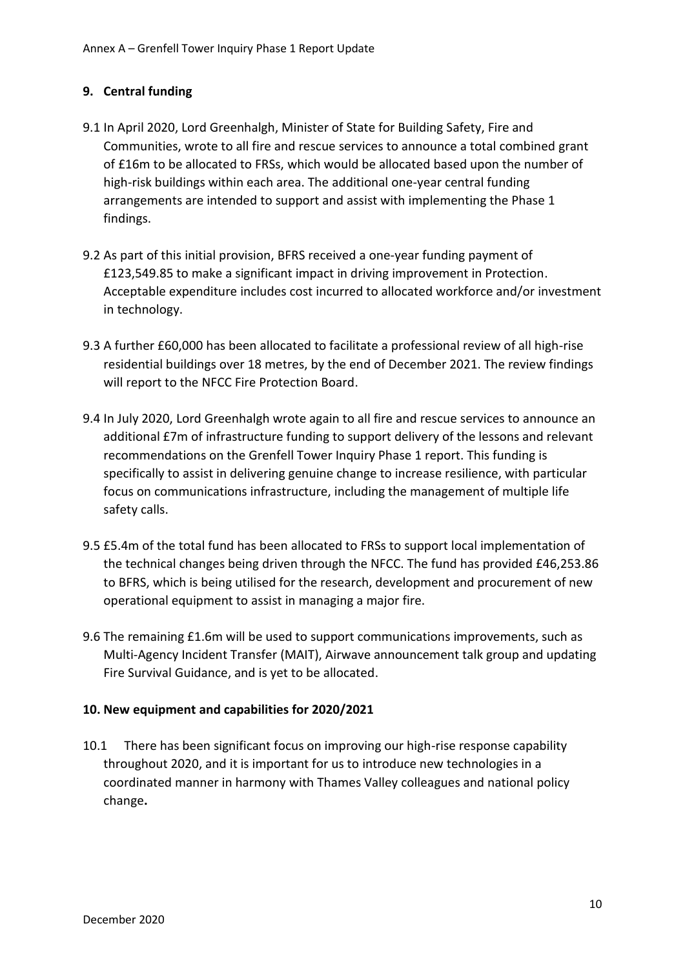# <span id="page-12-0"></span>**9. Central funding**

- 9.1 In April 2020, Lord Greenhalgh, Minister of State for Building Safety, Fire and Communities, wrote to all fire and rescue services to announce a total combined grant of £16m to be allocated to FRSs, which would be allocated based upon the number of high-risk buildings within each area. The additional one-year central funding arrangements are intended to support and assist with implementing the Phase 1 findings.
- 9.2 As part of this initial provision, BFRS received a one-year funding payment of £123,549.85 to make a significant impact in driving improvement in Protection. Acceptable expenditure includes cost incurred to allocated workforce and/or investment in technology.
- 9.3 A further £60,000 has been allocated to facilitate a professional review of all high-rise residential buildings over 18 metres, by the end of December 2021. The review findings will report to the NFCC Fire Protection Board.
- 9.4 In July 2020, Lord Greenhalgh wrote again to all fire and rescue services to announce an additional £7m of infrastructure funding to support delivery of the lessons and relevant recommendations on the Grenfell Tower Inquiry Phase 1 report. This funding is specifically to assist in delivering genuine change to increase resilience, with particular focus on communications infrastructure, including the management of multiple life safety calls.
- 9.5 £5.4m of the total fund has been allocated to FRSs to support local implementation of the technical changes being driven through the NFCC. The fund has provided £46,253.86 to BFRS, which is being utilised for the research, development and procurement of new operational equipment to assist in managing a major fire.
- 9.6 The remaining £1.6m will be used to support communications improvements, such as Multi-Agency Incident Transfer (MAIT), Airwave announcement talk group and updating Fire Survival Guidance, and is yet to be allocated.

# <span id="page-12-1"></span>**10. New equipment and capabilities for 2020/2021**

10.1 There has been significant focus on improving our high-rise response capability throughout 2020, and it is important for us to introduce new technologies in a coordinated manner in harmony with Thames Valley colleagues and national policy change**.**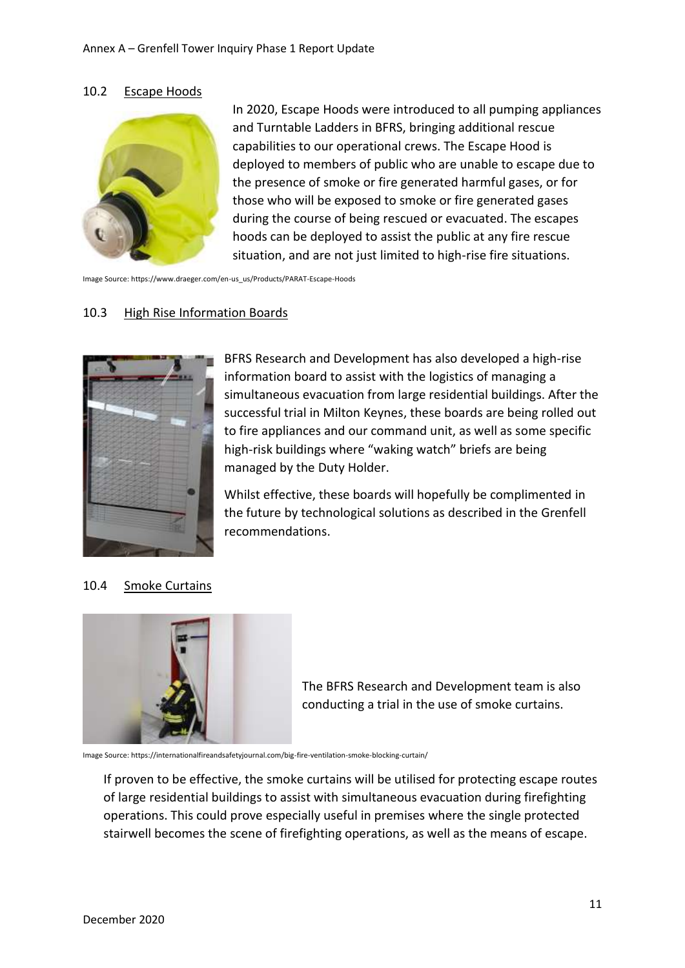#### 10.2 Escape Hoods



In 2020, Escape Hoods were introduced to all pumping appliances and Turntable Ladders in BFRS, bringing additional rescue capabilities to our operational crews. The Escape Hood is deployed to members of public who are unable to escape due to the presence of smoke or fire generated harmful gases, or for those who will be exposed to smoke or fire generated gases during the course of being rescued or evacuated. The escapes hoods can be deployed to assist the public at any fire rescue situation, and are not just limited to high-rise fire situations.

Image Source: https://www.draeger.com/en-us\_us/Products/PARAT-Escape-Hoods

#### 10.3 High Rise Information Boards



BFRS Research and Development has also developed a high-rise information board to assist with the logistics of managing a simultaneous evacuation from large residential buildings. After the successful trial in Milton Keynes, these boards are being rolled out to fire appliances and our command unit, as well as some specific high-risk buildings where "waking watch" briefs are being managed by the Duty Holder.

Whilst effective, these boards will hopefully be complimented in the future by technological solutions as described in the Grenfell recommendations.

#### 10.4 Smoke Curtains



The BFRS Research and Development team is also conducting a trial in the use of smoke curtains.

Image Source: https://internationalfireandsafetyjournal.com/big-fire-ventilation-smoke-blocking-curtain/

If proven to be effective, the smoke curtains will be utilised for protecting escape routes of large residential buildings to assist with simultaneous evacuation during firefighting operations. This could prove especially useful in premises where the single protected stairwell becomes the scene of firefighting operations, as well as the means of escape.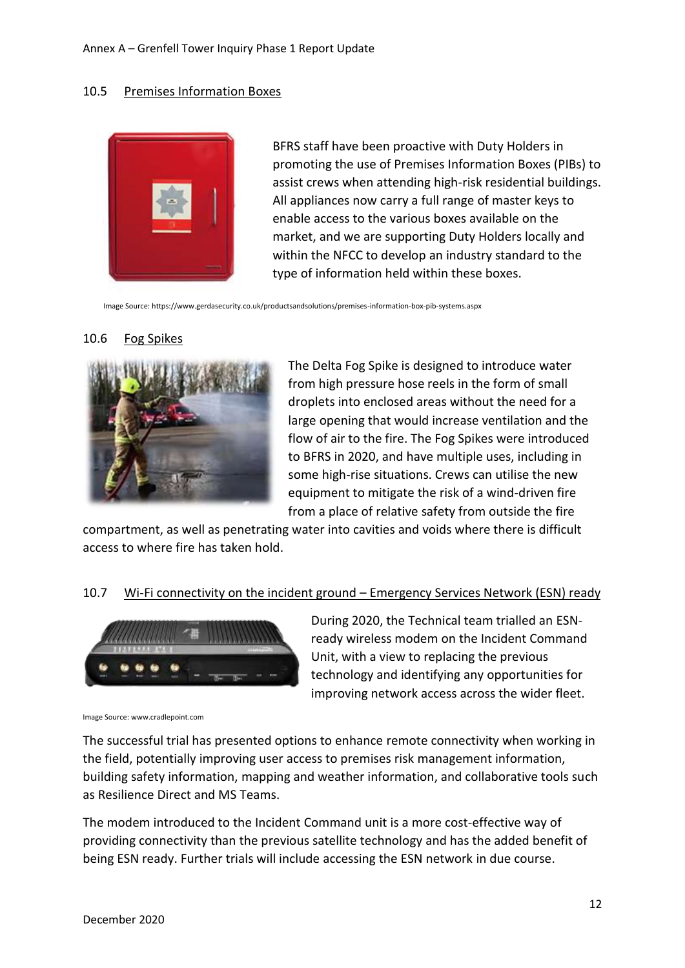#### 10.5 Premises Information Boxes



BFRS staff have been proactive with Duty Holders in promoting the use of Premises Information Boxes (PIBs) to assist crews when attending high-risk residential buildings. All appliances now carry a full range of master keys to enable access to the various boxes available on the market, and we are supporting Duty Holders locally and within the NFCC to develop an industry standard to the type of information held within these boxes.

Image Source: https://www.gerdasecurity.co.uk/productsandsolutions/premises-information-box-pib-systems.aspx

#### 10.6 Fog Spikes



The Delta Fog Spike is designed to introduce water from high pressure hose reels in the form of small droplets into enclosed areas without the need for a large opening that would increase ventilation and the flow of air to the fire. The Fog Spikes were introduced to BFRS in 2020, and have multiple uses, including in some high-rise situations. Crews can utilise the new equipment to mitigate the risk of a wind-driven fire from a place of relative safety from outside the fire

compartment, as well as penetrating water into cavities and voids where there is difficult access to where fire has taken hold.

#### 10.7 Wi-Fi connectivity on the incident ground – Emergency Services Network (ESN) ready



During 2020, the Technical team trialled an ESNready wireless modem on the Incident Command Unit, with a view to replacing the previous technology and identifying any opportunities for improving network access across the wider fleet.

Image Source: www.cradlepoint.com

The successful trial has presented options to enhance remote connectivity when working in the field, potentially improving user access to premises risk management information, building safety information, mapping and weather information, and collaborative tools such as Resilience Direct and MS Teams.

The modem introduced to the Incident Command unit is a more cost-effective way of providing connectivity than the previous satellite technology and has the added benefit of being ESN ready. Further trials will include accessing the ESN network in due course.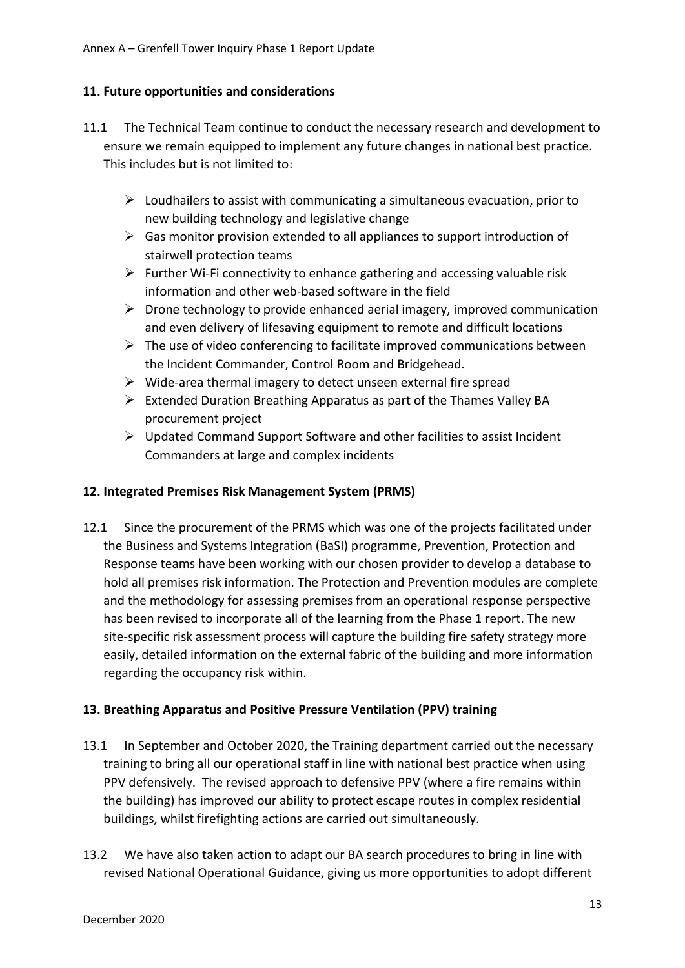# <span id="page-15-0"></span>**11. Future opportunities and considerations**

- 11.1 The Technical Team continue to conduct the necessary research and development to ensure we remain equipped to implement any future changes in national best practice. This includes but is not limited to:
	- $\triangleright$  Loudhailers to assist with communicating a simultaneous evacuation, prior to new building technology and legislative change
	- $\triangleright$  Gas monitor provision extended to all appliances to support introduction of stairwell protection teams
	- $\triangleright$  Further Wi-Fi connectivity to enhance gathering and accessing valuable risk information and other web-based software in the field
	- $\triangleright$  Drone technology to provide enhanced aerial imagery, improved communication and even delivery of lifesaving equipment to remote and difficult locations
	- $\triangleright$  The use of video conferencing to facilitate improved communications between the Incident Commander, Control Room and Bridgehead.
	- $\triangleright$  Wide-area thermal imagery to detect unseen external fire spread
	- ➢ Extended Duration Breathing Apparatus as part of the Thames Valley BA procurement project
	- ➢ Updated Command Support Software and other facilities to assist Incident Commanders at large and complex incidents

# <span id="page-15-2"></span>**12. Integrated Premises Risk Management System (PRMS)**

12.1 Since the procurement of the PRMS which was one of the projects facilitated under the Business and Systems Integration (BaSI) programme, Prevention, Protection and Response teams have been working with our chosen provider to develop a database to hold all premises risk information. The Protection and Prevention modules are complete and the methodology for assessing premises from an operational response perspective has been revised to incorporate all of the learning from the Phase 1 report. The new site-specific risk assessment process will capture the building fire safety strategy more easily, detailed information on the external fabric of the building and more information regarding the occupancy risk within.

# <span id="page-15-1"></span>**13. Breathing Apparatus and Positive Pressure Ventilation (PPV) training**

- 13.1 In September and October 2020, the Training department carried out the necessary training to bring all our operational staff in line with national best practice when using PPV defensively. The revised approach to defensive PPV (where a fire remains within the building) has improved our ability to protect escape routes in complex residential buildings, whilst firefighting actions are carried out simultaneously.
- 13.2 We have also taken action to adapt our BA search procedures to bring in line with revised National Operational Guidance, giving us more opportunities to adopt different